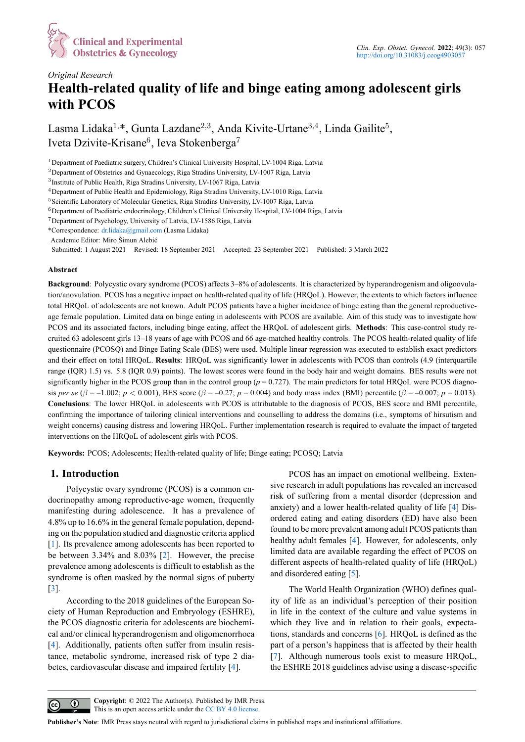

# *Original Research* **[Health-related quality](https://www.imrpress.com/journal/CEOG) of life and binge eating among adolescent girls with PCOS**

Lasma Lidaka<sup>1,\*</sup>, Gunta Lazdane<sup>2,3</sup>, Anda Kivite-Urtane<sup>3,4</sup>, Linda Gailite<sup>5</sup>, Iveta Dzivite-Krisane<sup>6</sup>, Ieva Stokenberga<sup>7</sup>

<sup>1</sup>Department of Paediatric surgery, Children's Clinical University Hospital, LV-1004 Riga, Latvia

<sup>7</sup>Department of Psychology, University of Latvia, LV-1586 Riga, Latvia

Academic Editor: Miro Šimun Alebić

Submitted: 1 August 2021 Revised: 18 September 2021 Accepted: 23 September 2021 Published: 3 March 2022

#### **Abstract**

**Background**: Polycystic ovary syndrome (PCOS) affects 3–8% of adolescents. It is characterized by hyperandrogenism and oligoovulation/anovulation. PCOS has a negative impact on health-related quality of life (HRQoL). However, the extents to which factors influence total HRQoL of adolescents are not known. Adult PCOS patients have a higher incidence of binge eating than the general reproductiveage female population. Limited data on binge eating in adolescents with PCOS are available. Aim of this study was to investigate how PCOS and its associated factors, including binge eating, affect the HRQoL of adolescent girls. **Methods**: This case-control study recruited 63 adolescent girls 13–18 years of age with PCOS and 66 age-matched healthy controls. The PCOS health-related quality of life questionnaire (PCOSQ) and Binge Eating Scale (BES) were used. Multiple linear regression was executed to establish exact predictors and their effect on total HRQoL. **Results**: HRQoL was significantly lower in adolescents with PCOS than controls (4.9 (interquartile range (IQR) 1.5) vs. 5.8 (IQR 0.9) points). The lowest scores were found in the body hair and weight domains. BES results were not significantly higher in the PCOS group than in the control group  $(p = 0.727)$ . The main predictors for total HRQoL were PCOS diagnosis *per se* ( $\beta = -1.002$ ;  $p < 0.001$ ), BES score ( $\beta = -0.27$ ;  $p = 0.004$ ) and body mass index (BMI) percentile ( $\beta = -0.007$ ;  $p = 0.013$ ). **Conclusions**: The lower HRQoL in adolescents with PCOS is attributable to the diagnosis of PCOS, BES score and BMI percentile, confirming the importance of tailoring clinical interventions and counselling to address the domains (i.e., symptoms of hirsutism and weight concerns) causing distress and lowering HRQoL. Further implementation research is required to evaluate the impact of targeted interventions on the HRQoL of adolescent girls with PCOS.

**Keywords:** PCOS; Adolescents; Health-related quality of life; Binge eating; PCOSQ; Latvia

## **1. Introduction**

Polycystic ovary syndrome (PCOS) is a common endocrinopathy among reproductive-age women, frequently manifesting during adolescence. It has a prevalence of 4.8% up to 16.6% in the general female population, depending on the population studied and diagnostic criteria applied [1]. Its prevalence among adolescents has been reported to be between 3.34% and 8.03% [2]. However, the precise prevalence among adolescents is difficult to establish as the syndrome is often masked by the normal signs of puberty [[3\]](#page-6-0).

According to the 2018 guid[el](#page-6-1)ines of the European Society of Human Reproduction and Embryology (ESHRE), the PCOS diagnostic criteria for adolescents are biochemi[ca](#page-6-2)l and/or clinical hyperandrogenism and oligomenorrhoea [4]. Additionally, patients often suffer from insulin resistance, metabolic syndrome, increased risk of type 2 diabetes, cardiovascular disease and impaired fertility [4].

PCOS has an impact on emotional wellbeing. Extensive research in adult populations has revealed an increased risk of suffering from a mental disorder (depression and anxiety) and a lower health-related quality of life [4] Disordered eating and eating disorders (ED) have also been found to be more prevalent among adult PCOS patients than healthy adult females [4]. However, for adolescents, only limited data are available regarding the effect of P[CO](#page-6-3)S on different aspects of health-related quality of life (HRQoL) and disordered eating [5].

The World Healt[h O](#page-6-3)rganization (WHO) defines quality of life as an individual's perception of their position in life in the context [of](#page-6-4) the culture and value systems in which they live and in relation to their goals, expectations, standards and concerns [6]. HRQoL is defined as the part of a person's happiness that is affected by their health [7]. Although numerous tools exist to measure HRQoL, the ESHRE 2018 guidelines advise using a disease-specific



**Copyright**: © 2022 The Author(s). Published by IMR Press. This is an open access article under the CC BY [4.0](#page-6-3) license.

**Publisher's Note**: IMR Press stays neutral with regard to jurisdictional claims in published maps and institutional affiliations.

<sup>&</sup>lt;sup>2</sup>Department of Obstetrics and Gynaecology, Riga Stradins University, LV-1007 Riga, Latvia

<sup>3</sup> Institute of Public Health, Riga Stradins University, LV-1067 Riga, Latvia

<sup>4</sup>Department of Public Health and Epidemiology, Riga Stradins University, LV-1010 Riga, Latvia

<sup>&</sup>lt;sup>5</sup> Scientific Laboratory of Molecular Genetics, Riga Stradins University, LV-1007 Riga, Latvia

<sup>6</sup>Department of Paediatric endocrinology, Children's Clinical University Hospital, LV-1004 Riga, Latvia

<sup>\*</sup>Correspondence: dr.lidaka@gmail.com (Lasma Lidaka)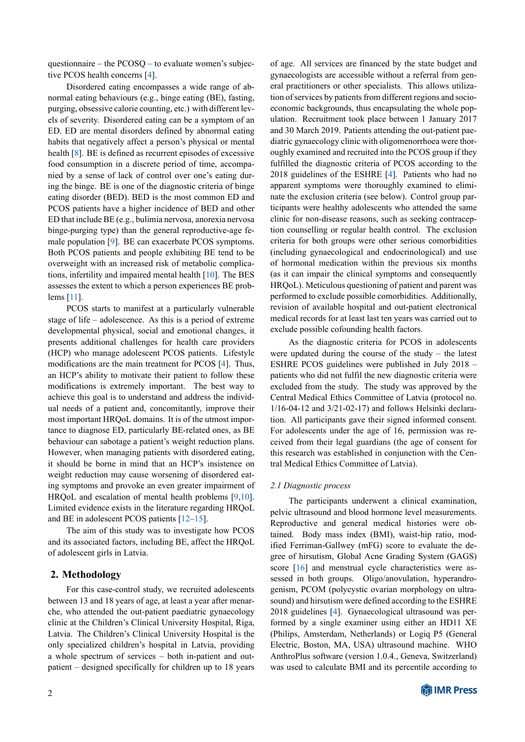questionnaire – the PCOSQ – to evaluate women's subjective PCOS health concerns [4].

Disordered eating encompasses a wide range of abnormal eating behaviours (e.g., binge eating (BE), fasting, purging, obsessive calorie counting, etc.) with different levels of severity. Disordered [ea](#page-6-3)ting can be a symptom of an ED. ED are mental disorders defined by abnormal eating habits that negatively affect a person's physical or mental health [8]. BE is defined as recurrent episodes of excessive food consumption in a discrete period of time, accompanied by a sense of lack of control over one's eating during the binge. BE is one of the diagnostic criteria of binge eating [di](#page-6-5)sorder (BED). BED is the most common ED and PCOS patients have a higher incidence of BED and other ED that include BE (e.g., bulimia nervosa, anorexia nervosa binge-purging type) than the general reproductive-age female population [9]. BE can exacerbate PCOS symptoms. Both PCOS patients and people exhibiting BE tend to be overweight with an increased risk of metabolic complications, infertility and impaired mental health [10]. The BES assesses the exte[nt](#page-6-6) to which a person experiences BE problems [11].

PCOS starts to manifest at a particularly vulnerable stage of life – adolescence. As this is a peri[od](#page-6-7) of extreme developmental physical, social and emotional changes, it prese[nts](#page-6-8) additional challenges for health care providers (HCP) who manage adolescent PCOS patients. Lifestyle modifications are the main treatment for PCOS [4]. Thus, an HCP's ability to motivate their patient to follow these modifications is extremely important. The best way to achieve this goal is to understand and address the individual needs of a patient and, concomitantly, imp[ro](#page-6-3)ve their most important HRQoL domains. It is of the utmost importance to diagnose ED, particularly BE-related ones, as BE behaviour can sabotage a patient's weight reduction plans. However, when managing patients with disordered eating, it should be borne in mind that an HCP's insistence on weight reduction may cause worsening of disordered eating symptoms and provoke an even greater impairment of HRQoL and escalation of mental health problems [9,10]. Limited evidence exists in the literature regarding HRQoL and BE in adolescent PCOS patients [12–15].

The aim of this study was to investigate how PCOS and its associated factors, including BE, affect the H[R](#page-6-6)[QoL](#page-6-7) of adolescent girls in Latvia.

# **2. Methodology**

For this case-control study, we recruited adolescents between 13 and 18 years of age, at least a year after menarche, who attended the out-patient paediatric gynaecology clinic at the Children's Clinical University Hospital, Riga, Latvia. The Children's Clinical University Hospital is the only specialized children's hospital in Latvia, providing a whole spectrum of services – both in-patient and outpatient – designed specifically for children up to 18 years of age. All services are financed by the state budget and gynaecologists are accessible without a referral from general practitioners or other specialists. This allows utilization of services by patients from different regions and socioeconomic backgrounds, thus encapsulating the whole population. Recruitment took place between 1 January 2017 and 30 March 2019. Patients attending the out-patient paediatric gynaecology clinic with oligomenorrhoea were thoroughly examined and recruited into the PCOS group if they fulfilled the diagnostic criteria of PCOS according to the 2018 guidelines of the ESHRE [4]. Patients who had no apparent symptoms were thoroughly examined to eliminate the exclusion criteria (see below). Control group participants were healthy adolescents who attended the same clinic for non-disease reasons, s[uc](#page-6-3)h as seeking contraception counselling or regular health control. The exclusion criteria for both groups were other serious comorbidities (including gynaecological and endocrinological) and use of hormonal medication within the previous six months (as it can impair the clinical symptoms and consequently HRQoL). Meticulous questioning of patient and parent was performed to exclude possible comorbidities. Additionally, revision of available hospital and out-patient electronical medical records for at least last ten years was carried out to exclude possible cofounding health factors.

As the diagnostic criteria for PCOS in adolescents were updated during the course of the study – the latest ESHRE PCOS guidelines were published in July 2018 – patients who did not fulfil the new diagnostic criteria were excluded from the study. The study was approved by the Central Medical Ethics Committee of Latvia (protocol no. 1/16-04-12 and 3/21-02-17) and follows Helsinki declaration. All participants gave their signed informed consent. For adolescents under the age of 16, permission was received from their legal guardians (the age of consent for this research was established in conjunction with the Central Medical Ethics Committee of Latvia).

## *2.1 Diagnostic process*

The participants underwent a clinical examination, pelvic ultrasound and blood hormone level measurements. Reproductive and general medical histories were obtained. Body mass index (BMI), waist-hip ratio, modified Ferriman-Gallwey (mFG) score to evaluate the degree of hirsutism, Global Acne Grading System (GAGS) score [16] and menstrual cycle characteristics were assessed in both groups. Oligo/anovulation, hyperandrogenism, PCOM (polycystic ovarian morphology on ultrasound) and hirsutism were defined according to the ESHRE 2018 g[uid](#page-6-9)elines [4]. Gynaecological ultrasound was performed by a single examiner using either an HD11 XE (Philips, Amsterdam, Netherlands) or Logiq P5 (General Electric, Boston, MA, USA) ultrasound machine. WHO AnthroPlus softw[ar](#page-6-3)e (version 1.0.4., Geneva, Switzerland) was used to calculate BMI and its percentile according to

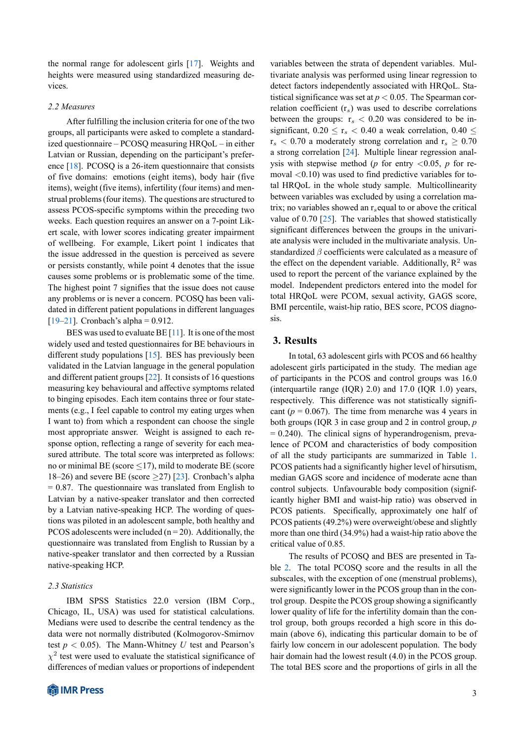the normal range for adolescent girls [17]. Weights and heights were measured using standardized measuring devices.

## *2.2 Measures*

After fulfilling the inclusion criteria for one of the two groups, all participants were asked to complete a standardized questionnaire – PCOSQ measuring HRQoL – in either Latvian or Russian, depending on the participant's preference [18]. PCOSQ is a 26-item questionnaire that consists of five domains: emotions (eight items), body hair (five items), weight (five items), infertility (four items) and menstrual problems (four items). The questions are structured to assess [PC](#page-6-10)OS-specific symptoms within the preceding two weeks. Each question requires an answer on a 7-point Likert scale, with lower scores indicating greater impairment of wellbeing. For example, Likert point 1 indicates that the issue addressed in the question is perceived as severe or persists constantly, while point 4 denotes that the issue causes some problems or is problematic some of the time. The highest point 7 signifies that the issue does not cause any problems or is never a concern. PCOSQ has been validated in different patient populations in different languages  $[19–21]$ . Cronbach's alpha = 0.912.

BES was used to evaluate BE  $[11]$ . It is one of the most widely used and tested questionnaires for BE behaviours in different study populations [15]. BES has previously been [vali](#page-6-11)[date](#page-7-0)d in the Latvian language in the general population and different patient groups [22]. It [co](#page-6-8)nsists of 16 questions measuring key behavioural and affective symptoms related to binging episodes. Each it[em](#page-6-12) contains three or four statements (e.g., I feel capable to control my eating urges when I want to) from which a res[pon](#page-7-1)dent can choose the single most appropriate answer. Weight is assigned to each response option, reflecting a range of severity for each measured attribute. The total score was interpreted as follows: no or minimal BE (score *≤*17), mild to moderate BE (score 18–26) and severe BE (score *≥*27) [23]. Cronbach's alpha  $= 0.87$ . The questionnaire was translated from English to Latvian by a native-speaker translator and then corrected by a Latvian native-speaking HCP. The wording of questions was piloted in an adolescent sa[mp](#page-7-2)le, both healthy and PCOS adolescents were included ( $n = 20$ ). Additionally, the questionnaire was translated from English to Russian by a native-speaker translator and then corrected by a Russian native-speaking HCP.

#### *2.3 Statistics*

IBM SPSS Statistics 22.0 version (IBM Corp., Chicago, IL, USA) was used for statistical calculations. Medians were used to describe the central tendency as the data were not normally distributed (Kolmogorov-Smirnov test  $p < 0.05$ ). The Mann-Whitney *U* test and Pearson's  $\chi^2$  test were used to evaluate the statistical significance of differences of median values or proportions of independent variables between the strata of dependent variables. Multivariate analysis was performed using linear regression to detect factors independently associated with HRQoL. Statistical significance was set at  $p < 0.05$ . The Spearman correlation coefficient (r*s*) was used to describe correlations between the groups:  $r_s < 0.20$  was considered to be insignificant,  $0.20 \le r_s < 0.40$  a weak correlation,  $0.40 \le$  $r_s < 0.70$  a moderately strong correlation and  $r_s \geq 0.70$ a strong correlation [24]. Multiple linear regression analysis with stepwise method (*p* for entry *<*0.05, *p* for removal *<*0.10) was used to find predictive variables for total HRQoL in the whole study sample. Multicollinearity between variables w[as e](#page-7-3)xcluded by using a correlation matrix; no variables showed an r*s*equal to or above the critical value of 0.70  $[25]$ . The variables that showed statistically significant differences between the groups in the univariate analysis were included in the multivariate analysis. Unstandardized *β* coefficients were calculated as a measure of the effect on t[he d](#page-7-4)ependent variable. Additionally,  $\mathbb{R}^2$  was used to report the percent of the variance explained by the model. Independent predictors entered into the model for total HRQoL were PCOM, sexual activity, GAGS score, BMI percentile, waist-hip ratio, BES score, PCOS diagnosis.

# **3. Results**

In total, 63 adolescent girls with PCOS and 66 healthy adolescent girls participated in the study. The median age of participants in the PCOS and control groups was 16.0 (interquartile range (IQR) 2.0) and 17.0 (IQR 1.0) years, respectively. This difference was not statistically significant ( $p = 0.067$ ). The time from menarche was 4 years in both groups (IQR 3 in case group and 2 in control group, *p*  $= 0.240$ ). The clinical signs of hyperandrogenism, prevalence of PCOM and characteristics of body composition of all the study participants are summarized in Table 1. PCOS patients had a significantly higher level of hirsutism, median GAGS score and incidence of moderate acne than control subjects. Unfavourable body composition (significantly higher BMI and waist-hip ratio) was observed [in](#page-3-0) PCOS patients. Specifically, approximately one half of PCOS patients (49.2%) were overweight/obese and slightly more than one third (34.9%) had a waist-hip ratio above the critical value of 0.85.

The results of PCOSQ and BES are presented in Table 2. The total PCOSQ score and the results in all the subscales, with the exception of one (menstrual problems), were significantly lower in the PCOS group than in the control group. Despite the PCOS group showing a significantly low[er](#page-4-0) quality of life for the infertility domain than the control group, both groups recorded a high score in this domain (above 6), indicating this particular domain to be of fairly low concern in our adolescent population. The body hair domain had the lowest result (4.0) in the PCOS group. The total BES score and the proportions of girls in all the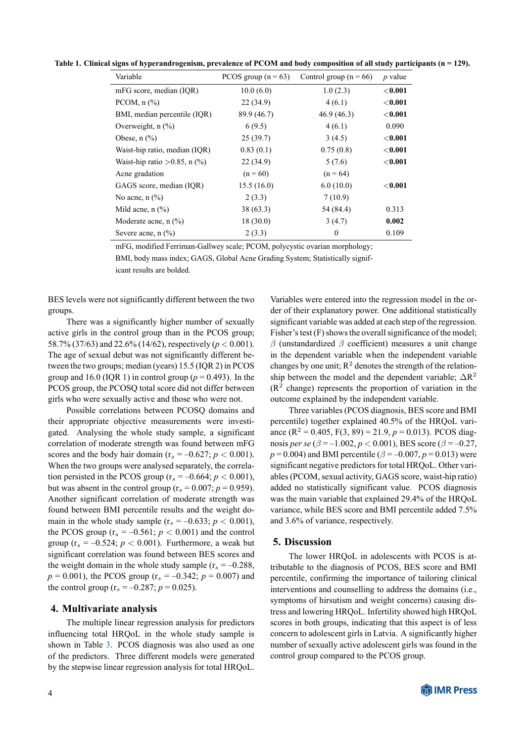<span id="page-3-0"></span>**Table 1. Clinical signs of hyperandrogenism, prevalence of PCOM and body composition of all study participants (n = 129).**

| Variable                                    | PCOS group $(n = 63)$ | Control group ( $n = 66$ ) | $p$ value      |
|---------------------------------------------|-----------------------|----------------------------|----------------|
| mFG score, median (IQR)                     | 10.0(6.0)             | 1.0(2.3)                   | $<$ $0.001$    |
| PCOM, $n$ $(\%)$                            | 22(34.9)              | 4(6.1)                     | $<$ 0.001      |
| BMI, median percentile (IQR)                | 89.9 (46.7)           | 46.9(46.3)                 | $<$ 0.001 $\,$ |
| Overweight, $n$ $\left(\frac{9}{0}\right)$  | 6(9.5)                | 4(6.1)                     | 0.090          |
| Obese, $n$ $\left(\frac{9}{6}\right)$       | 25(39.7)              | 3(4.5)                     | $<$ 0.001      |
| Waist-hip ratio, median (IQR)               | 0.83(0.1)             | 0.75(0.8)                  | $<$ 0.001      |
| Waist-hip ratio $>0.85$ , n $(\%)$          | 22(34.9)              | 5(7.6)                     | $<$ 0.001      |
| Acne gradation                              | $(n = 60)$            | $(n = 64)$                 |                |
| GAGS score, median (IQR)                    | 15.5(16.0)            | 6.0(10.0)                  | $<$ 0.001      |
| No acne, $n$ $(\%)$                         | 2(3.3)                | 7(10.9)                    |                |
| Mild acne, $n$ $(\%)$                       | 38(63.3)              | 54 (84.4)                  | 0.313          |
| Moderate acne, n (%)                        | 18(30.0)              | 3(4.7)                     | 0.002          |
| Severe acne, $n$ $\left(\frac{9}{0}\right)$ | 2(3.3)                | $\theta$                   | 0.109          |

mFG, modified Ferriman-Gallwey scale; PCOM, polycystic ovarian morphology;

BMI, body mass index; GAGS, Global Acne Grading System; Statistically signif-

icant results are bolded.

BES levels were not significantly different between the two groups.

There was a significantly higher number of sexually active girls in the control group than in the PCOS group; 58.7% (37/63) and 22.6% (14/62), respectively (*p <* 0.001). The age of sexual debut was not significantly different between the two groups; median (years) 15.5 (IQR 2) in PCOS group and 16.0 (IQR 1) in control group ( $p = 0.493$ ). In the PCOS group, the PCOSQ total score did not differ between girls who were sexually active and those who were not.

Possible correlations between PCOSQ domains and their appropriate objective measurements were investigated. Analysing the whole study sample, a significant correlation of moderate strength was found between mFG scores and the body hair domain ( $r_s = -0.627$ ;  $p < 0.001$ ). When the two groups were analysed separately, the correlation persisted in the PCOS group ( $r_s = -0.664$ ;  $p < 0.001$ ), but was absent in the control group  $(r_s = 0.007; p = 0.959)$ . Another significant correlation of moderate strength was found between BMI percentile results and the weight domain in the whole study sample  $(r_s = -0.633; p < 0.001)$ , the PCOS group  $(r_s = -0.561; p < 0.001)$  and the control group  $(r_s = -0.524; p < 0.001)$ . Furthermore, a weak but significant correlation was found between BES scores and the weight domain in the whole study sample  $(r_s = -0.288$ ,  $p = 0.001$ , the PCOS group ( $r_s = -0.342$ ;  $p = 0.007$ ) and the control group  $(r_s = -0.287; p = 0.025)$ .

# **4. Multivariate analysis**

The multiple linear regression analysis for predictors influencing total HRQoL in the whole study sample is shown in Table 3. PCOS diagnosis was also used as one of the predictors. Three different models were generated by the stepwise linear regression analysis for total HRQoL.

Variables were entered into the regression model in the order of their explanatory power. One additional statistically significant variable was added at each step of the regression. Fisher's test (F) shows the overall significance of the model; *β* (unstandardized *β* coefficient) measures a unit change in the dependent variable when the independent variable changes by one unit;  $R^2$  denotes the strength of the relationship between the model and the dependent variable;  $\Delta R^2$  $(R<sup>2</sup>$  change) represents the proportion of variation in the outcome explained by the independent variable.

Three variables (PCOS diagnosis, BES score and BMI percentile) together explained 40.5% of the HRQoL variance  $(R^2 = 0.405, F(3, 89) = 21.9, p = 0.013)$ . PCOS diagnosis *per se* ( $\beta = -1.002$ ,  $p < 0.001$ ), BES score ( $\beta = -0.27$ , *p* = 0.004) and BMI percentile ( $\beta$  = –0.007, *p* = 0.013) were significant negative predictors for total HRQoL. Other variables (PCOM, sexual activity, GAGS score, waist-hip ratio) added no statistically significant value. PCOS diagnosis was the main variable that explained 29.4% of the HRQoL variance, while BES score and BMI percentile added 7.5% and 3.6% of variance, respectively.

# **5. Discussion**

The lower HRQoL in adolescents with PCOS is attributable to the diagnosis of PCOS, BES score and BMI percentile, confirming the importance of tailoring clinical interventions and counselling to address the domains (i.e., symptoms of hirsutism and weight concerns) causing distress and lowering HRQoL. Infertility showed high HRQoL scores in both groups, indicating that this aspect is of less concern to adolescent girls in Latvia. A significantly higher number of sexually active adolescent girls was found in the control group compared to the PCOS group.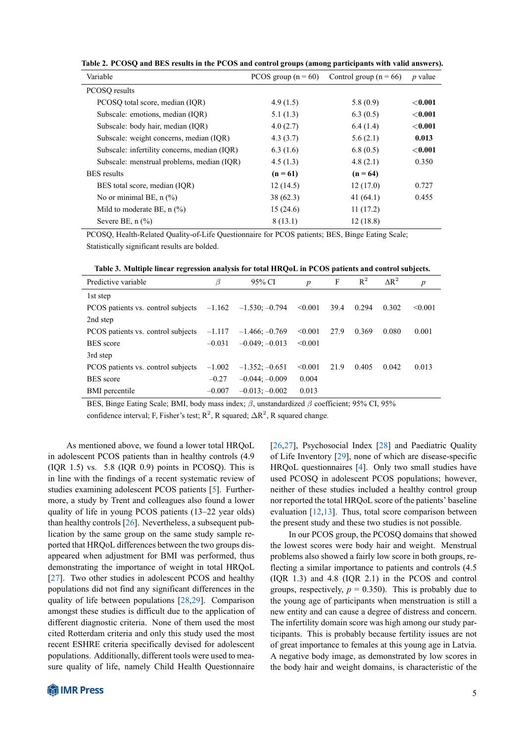| Table 2. PCOSQ and BES results in the PCOS and control groups (among participants with valid answers). |  |
|--------------------------------------------------------------------------------------------------------|--|
|--------------------------------------------------------------------------------------------------------|--|

<span id="page-4-0"></span>

| Variable                                     | PCOS group $(n = 60)$ | Control group ( $n = 66$ ) | $p$ value |
|----------------------------------------------|-----------------------|----------------------------|-----------|
| PCOSO results                                |                       |                            |           |
| PCOSO total score, median (IOR)              | 4.9(1.5)              | 5.8(0.9)                   | $<$ 0.001 |
| Subscale: emotions, median (IQR)             | 5.1(1.3)              | 6.3(0.5)                   | $<$ 0.001 |
| Subscale: body hair, median (IQR)            | 4.0(2.7)              | 6.4(1.4)                   | $<$ 0.001 |
| Subscale: weight concerns, median (IOR)      | 4.3(3.7)              | 5.6(2.1)                   | 0.013     |
| Subscale: infertility concerns, median (IQR) | 6.3(1.6)              | 6.8(0.5)                   | $<$ 0.001 |
| Subscale: menstrual problems, median (IQR)   | 4.5(1.3)              | 4.8(2.1)                   | 0.350     |
| <b>BES</b> results                           | $(n = 61)$            | $(n = 64)$                 |           |
| BES total score, median (IQR)                | 12(14.5)              | 12(17.0)                   | 0.727     |
| No or minimal BE, $n$ $(\%)$                 | 38(62.3)              | 41 $(64.1)$                | 0.455     |
| Mild to moderate BE, $n$ (%)                 | 15(24.6)              | 11(17.2)                   |           |
| Severe BE, $n$ $(\%)$                        | 8(13.1)               | 12(18.8)                   |           |

PCOSQ, Health-Related Quality-of-Life Questionnaire for PCOS patients; BES, Binge Eating Scale; Statistically significant results are bolded.

**Table 3. Multiple linear regression analysis for total HRQoL in PCOS patients and control subjects.**

| Predictive variable                                             | β        | 95% CI           | $\boldsymbol{p}$ | F    | $R^2$ | $\Delta R^2$ | $\boldsymbol{p}$ |
|-----------------------------------------------------------------|----------|------------------|------------------|------|-------|--------------|------------------|
| 1st step                                                        |          |                  |                  |      |       |              |                  |
| PCOS patients vs. control subjects $-1.162$ $-1.530$ ; $-0.794$ |          |                  | < 0.001          | 39.4 | 0.294 | 0.302        | < 0.001          |
| 2nd step                                                        |          |                  |                  |      |       |              |                  |
| PCOS patients vs. control subjects                              | $-1.117$ | $-1.466; -0.769$ | < 0.001          | 27.9 | 0.369 | 0.080        | 0.001            |
| <b>BES</b> score                                                | $-0.031$ | $-0.049; -0.013$ | < 0.001          |      |       |              |                  |
| 3rd step                                                        |          |                  |                  |      |       |              |                  |
| PCOS patients vs. control subjects                              | $-1.002$ | $-1.352; -0.651$ | < 0.001          | 21.9 | 0.405 | 0.042        | 0.013            |
| <b>BES</b> score                                                | $-0.27$  | $-0.044; -0.009$ | 0.004            |      |       |              |                  |
| <b>BMI</b> percentile                                           | $-0.007$ | $-0.013; -0.002$ | 0.013            |      |       |              |                  |

BES, Binge Eating Scale; BMI, body mass index; *β*, unstandardized *β* coefficient; 95% CI, 95%

confidence interval; F, Fisher's test;  $R^2$ , R squared;  $\Delta R^2$ , R squared change.

As mentioned above, we found a lower total HRQoL in adolescent PCOS patients than in healthy controls (4.9  $( IQR 1.5)$  vs. 5.8  $( IQR 0.9)$  points in PCOSQ). This is in line with the findings of a recent systematic review of studies examining adolescent PCOS patients [5]. Furthermore, a study by Trent and colleagues also found a lower quality of life in young PCOS patients (13–22 year olds) than healthy controls [26]. Nevertheless, a subsequent publication by the same group on the same stud[y s](#page-6-4)ample reported that HRQoL differences between the two groups disappeared when adjustment for BMI was performed, thus demonstrating the im[por](#page-7-5)tance of weight in total HRQoL [27]. Two other studies in adolescent PCOS and healthy populations did not find any significant differences in the quality of life between populations [28,29]. Comparison amongst these studies is difficult due to the application of [diff](#page-7-6)erent diagnostic criteria. None of them used the most cited Rotterdam criteria and only this study used the most recent ESHRE criteria specifically d[evi](#page-7-7)[sed](#page-7-8) for adolescent populations. Additionally, different tools were used to measure quality of life, namely Child Health Questionnaire [26,27], Psychosocial Index [28] and Paediatric Quality of Life Inventory [29], none of which are disease-specific HRQoL questionnaires [4]. Only two small studies have used PCOSQ in adolescent PCOS populations; however, [neit](#page-7-5)[her](#page-7-6) of these studies inclu[ded](#page-7-7) a healthy control group nor reported the tot[al H](#page-7-8)RQoL score of the patients' baseline evaluation  $[12,13]$ . Thu[s,](#page-6-3) total score comparison between the present study and these two studies is not possible.

In our PCOS group, the PCOSQ domains that showed the lowest scores were body hair and weight. Menstrual problems al[so](#page-6-13) [sho](#page-6-14)wed a fairly low score in both groups, reflecting a similar importance to patients and controls (4.5 (IQR 1.3) and 4.8 (IQR 2.1) in the PCOS and control groups, respectively,  $p = 0.350$ ). This is probably due to the young age of participants when menstruation is still a new entity and can cause a degree of distress and concern. The infertility domain score was high among our study participants. This is probably because fertility issues are not of great importance to females at this young age in Latvia. A negative body image, as demonstrated by low scores in the body hair and weight domains, is characteristic of the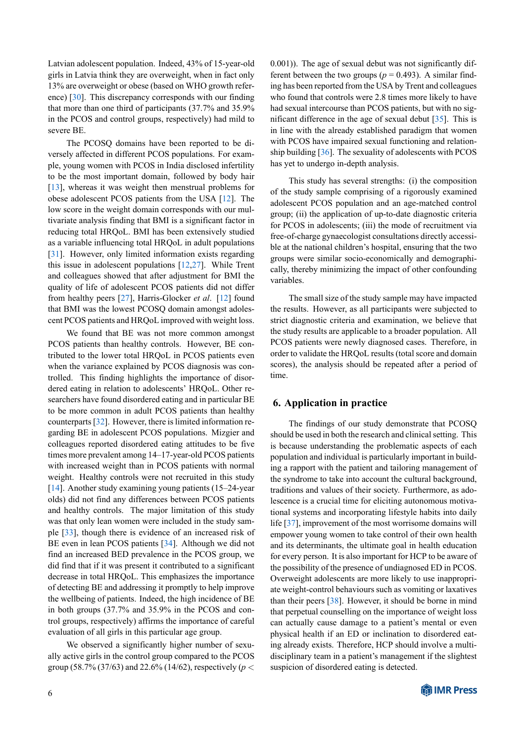Latvian adolescent population. Indeed, 43% of 15-year-old girls in Latvia think they are overweight, when in fact only 13% are overweight or obese (based on WHO growth reference) [30]. This discrepancy corresponds with our finding that more than one third of participants (37.7% and 35.9% in the PCOS and control groups, respectively) had mild to severe BE.

T[he](#page-7-9) PCOSQ domains have been reported to be diversely affected in different PCOS populations. For example, young women with PCOS in India disclosed infertility to be the most important domain, followed by body hair [13], whereas it was weight then menstrual problems for obese adolescent PCOS patients from the USA [12]. The low score in the weight domain corresponds with our multivariate analysis finding that BMI is a significant factor in r[edu](#page-6-14)cing total HRQoL. BMI has been extensively studied as a variable influencing total HRQoL in adult p[opu](#page-6-13)lations [31]. However, only limited information exists regarding this issue in adolescent populations [12,27]. While Trent and colleagues showed that after adjustment for BMI the quality of life of adolescent PCOS patients did not differ f[rom](#page-7-10) healthy peers [27], Harris-Glocker *et al*. [12] found that BMI was the lowest PCOSQ do[mai](#page-6-13)[n am](#page-7-6)ongst adolescent PCOS patients and HRQoL improved with weight loss.

We found that BE was not more common amongst PCOS patients than [he](#page-7-6)althy controls. However[, B](#page-6-13)E contributed to the lower total HRQoL in PCOS patients even when the variance explained by PCOS diagnosis was controlled. This finding highlights the importance of disordered eating in relation to adolescents' HRQoL. Other researchers have found disordered eating and in particular BE to be more common in adult PCOS patients than healthy counterparts [32]. However, there is limited information regarding BE in adolescent PCOS populations. Mizgier and colleagues reported disordered eating attitudes to be five times more prevalent among 14–17-year-old PCOS patients with increase[d w](#page-7-11)eight than in PCOS patients with normal weight. Healthy controls were not recruited in this study [14]. Another study examining young patients  $(15-24$ -year olds) did not find any differences between PCOS patients and healthy controls. The major limitation of this study was that only lean women were included in the study sam[ple](#page-6-15) [33], though there is evidence of an increased risk of BE even in lean PCOS patients [34]. Although we did not find an increased BED prevalence in the PCOS group, we did find that if it was present it contributed to a significant decr[eas](#page-7-12)e in total HRQoL. This emphasizes the importance of detecting BE and addressing it [pro](#page-7-13)mptly to help improve the wellbeing of patients. Indeed, the high incidence of BE in both groups (37.7% and 35.9% in the PCOS and control groups, respectively) affirms the importance of careful evaluation of all girls in this particular age group.

We observed a significantly higher number of sexually active girls in the control group compared to the PCOS group (58.7% (37/63) and 22.6% (14/62), respectively (*p <* 0.001)). The age of sexual debut was not significantly different between the two groups ( $p = 0.493$ ). A similar finding has been reported from the USA by Trent and colleagues who found that controls were 2.8 times more likely to have had sexual intercourse than PCOS patients, but with no significant difference in the age of sexual debut [35]. This is in line with the already established paradigm that women with PCOS have impaired sexual functioning and relationship building [36]. The sexuality of adolescents with PCOS has yet to undergo in-depth analysis.

This study has several strengths: (i) the composition of the study s[am](#page-7-14)ple comprising of a rigorously examined adolescent PCOS population and an age-matched control group; (ii) the application of up-to-date diagnostic criteria for PCOS in adolescents; (iii) the mode of recruitment via free-of-charge gynaecologist consultations directly accessible at the national children's hospital, ensuring that the two groups were similar socio-economically and demographically, thereby minimizing the impact of other confounding variables.

The small size of the study sample may have impacted the results. However, as all participants were subjected to strict diagnostic criteria and examination, we believe that the study results are applicable to a broader population. All PCOS patients were newly diagnosed cases. Therefore, in order to validate the HRQoL results (total score and domain scores), the analysis should be repeated after a period of time.

# **6. Application in practice**

The findings of our study demonstrate that PCOSQ should be used in both the research and clinical setting. This is because understanding the problematic aspects of each population and individual is particularly important in building a rapport with the patient and tailoring management of the syndrome to take into account the cultural background, traditions and values of their society. Furthermore, as adolescence is a crucial time for eliciting autonomous motivational systems and incorporating lifestyle habits into daily life [37], improvement of the most worrisome domains will empower young women to take control of their own health and its determinants, the ultimate goal in health education for every person. It is also important for HCP to be aware of the [poss](#page-7-15)ibility of the presence of undiagnosed ED in PCOS. Overweight adolescents are more likely to use inappropriate weight-control behaviours such as vomiting or laxatives than their peers [38]. However, it should be borne in mind that perpetual counselling on the importance of weight loss can actually cause damage to a patient's mental or even physical health if an ED or inclination to disordered eating already exist[s. T](#page-7-16)herefore, HCP should involve a multidisciplinary team in a patient's management if the slightest suspicion of disordered eating is detected.

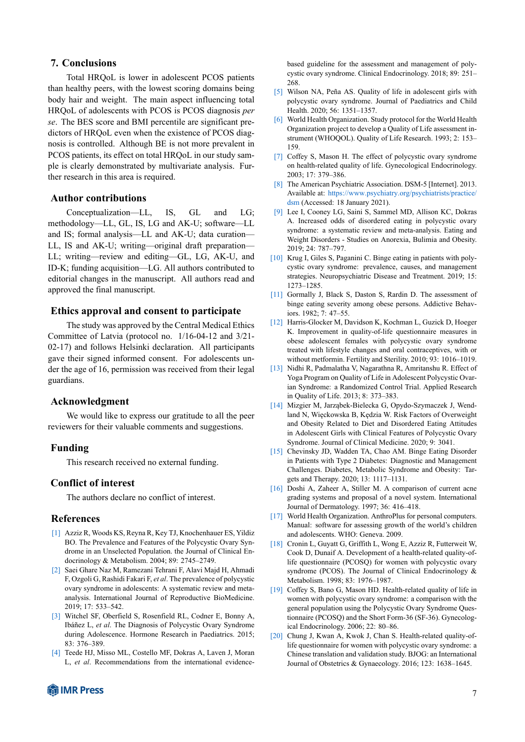# **7. Conclusions**

Total HRQoL is lower in adolescent PCOS patients than healthy peers, with the lowest scoring domains being body hair and weight. The main aspect influencing total HRQoL of adolescents with PCOS is PCOS diagnosis *per se*. The BES score and BMI percentile are significant predictors of HRQoL even when the existence of PCOS diagnosis is controlled. Although BE is not more prevalent in PCOS patients, its effect on total HRQoL in our study sample is clearly demonstrated by multivariate analysis. Further research in this area is required.

## **Author contributions**

Conceptualization—LL, IS, GL and LG; methodology—LL, GL, IS, LG and AK-U; software—LL and IS; formal analysis—LL and AK-U; data curation— LL, IS and AK-U; writing—original draft preparation— LL; writing—review and editing—GL, LG, AK-U, and ID-K; funding acquisition—LG. All authors contributed to editorial changes in the manuscript. All authors read and approved the final manuscript.

# **Ethics approval and consent to participate**

The study was approved by the Central Medical Ethics Committee of Latvia (protocol no. 1/16-04-12 and 3/21- 02-17) and follows Helsinki declaration. All participants gave their signed informed consent. For adolescents under the age of 16, permission was received from their legal guardians.

## **Acknowledgment**

We would like to express our gratitude to all the peer reviewers for their valuable comments and suggestions.

#### **Funding**

This research received no external funding.

# **Conflict of interest**

The authors declare no conflict of interest.

## **References**

- [1] Azziz R, Woods KS, Reyna R, Key TJ, Knochenhauer ES, Yildiz BO. The Prevalence and Features of the Polycystic Ovary Syndrome in an Unselected Population. the Journal of Clinical Endocrinology & Metabolism. 2004; 89: 2745–2749.
- <span id="page-6-0"></span>[2] Saei Ghare Naz M, Ramezani Tehrani F, Alavi Majd H, Ahmadi F, Ozgoli G, Rashidi Fakari F, *et al*. The prevalence of polycystic ovary syndrome in adolescents: A systematic review and metaanalysis. International Journal of Reproductive BioMedicine. 2019; 17: 533–542.
- <span id="page-6-1"></span>[3] Witchel SF, Oberfield S, Rosenfield RL, Codner E, Bonny A, Ibáñez L, *et al*. The Diagnosis of Polycystic Ovary Syndrome during Adolescence. Hormone Research in Paediatrics. 2015; 83: 376–389.
- <span id="page-6-3"></span><span id="page-6-2"></span>[4] Teede HJ, Misso ML, Costello MF, Dokras A, Laven J, Moran L, *et al*. Recommendations from the international evidence-

based guideline for the assessment and management of polycystic ovary syndrome. Clinical Endocrinology. 2018; 89: 251– 268.

- [5] Wilson NA, Peña AS. Quality of life in adolescent girls with polycystic ovary syndrome. Journal of Paediatrics and Child Health. 2020; 56: 1351–1357.
- <span id="page-6-4"></span>[6] World Health Organization. Study protocol for the World Health Organization project to develop a Quality of Life assessment instrument (WHOQOL). Quality of Life Research. 1993; 2: 153– 159.
- [7] Coffey S, Mason H. The effect of polycystic ovary syndrome on health-related quality of life. Gynecological Endocrinology. 2003; 17: 379–386.
- [8] The American Psychiatric Association. DSM-5 [Internet]. 2013. Available at: https://www.psychiatry.org/psychiatrists/practice/ dsm (Accessed: 18 January 2021).
- <span id="page-6-5"></span>[9] Lee I, Cooney LG, Saini S, Sammel MD, Allison KC, Dokras A. Increased odds of disordered eating in polycystic ovary syndrome: a systematic review and meta-analysis. Eating and Weight Disor[ders - Studies on Anorexia, Bulimia and Obesity.](https://www.psychiatry.org/psychiatrists/practice/dsm) [2019](https://www.psychiatry.org/psychiatrists/practice/dsm); 24: 787–797.
- <span id="page-6-6"></span>[10] Krug I, Giles S, Paganini C. Binge eating in patients with polycystic ovary syndrome: prevalence, causes, and management strategies. Neuropsychiatric Disease and Treatment. 2019; 15: 1273–1285.
- <span id="page-6-7"></span>[11] Gormally J, Black S, Daston S, Rardin D. The assessment of binge eating severity among obese persons. Addictive Behaviors. 1982; 7: 47–55.
- <span id="page-6-8"></span>[12] Harris-Glocker M, Davidson K, Kochman L, Guzick D, Hoeger K. Improvement in quality-of-life questionnaire measures in obese adolescent females with polycystic ovary syndrome treated with lifestyle changes and oral contraceptives, with or without metformin. Fertility and Sterility. 2010; 93: 1016–1019.
- <span id="page-6-13"></span>[13] Nidhi R, Padmalatha V, Nagarathna R, Amritanshu R. Effect of Yoga Program on Quality of Life in Adolescent Polycystic Ovarian Syndrome: a Randomized Control Trial. Applied Research in Quality of Life. 2013; 8: 373–383.
- <span id="page-6-14"></span>[14] Mizgier M, Jarząbek-Bielecka G, Opydo-Szymaczek J, Wendland N, Więckowska B, Kędzia W. Risk Factors of Overweight and Obesity Related to Diet and Disordered Eating Attitudes in Adolescent Girls with Clinical Features of Polycystic Ovary Syndrome. Journal of Clinical Medicine. 2020; 9: 3041.
- <span id="page-6-15"></span>[15] Chevinsky JD, Wadden TA, Chao AM. Binge Eating Disorder in Patients with Type 2 Diabetes: Diagnostic and Management Challenges. Diabetes, Metabolic Syndrome and Obesity: Targets and Therapy. 2020; 13: 1117–1131.
- <span id="page-6-12"></span>[16] Doshi A, Zaheer A, Stiller M. A comparison of current acne grading systems and proposal of a novel system. International Journal of Dermatology. 1997; 36: 416–418.
- <span id="page-6-9"></span>[17] World Health Organization. AnthroPlus for personal computers. Manual: software for assessing growth of the world's children and adolescents. WHO: Geneva. 2009.
- [18] Cronin L, Guyatt G, Griffith L, Wong E, Azziz R, Futterweit W, Cook D, Dunaif A. Development of a health-related quality-oflife questionnaire (PCOSQ) for women with polycystic ovary syndrome (PCOS). The Journal of Clinical Endocrinology & Metabolism. 1998; 83: 1976–1987.
- <span id="page-6-10"></span>[19] Coffey S, Bano G, Mason HD. Health-related quality of life in women with polycystic ovary syndrome: a comparison with the general population using the Polycystic Ovary Syndrome Questionnaire (PCOSQ) and the Short Form-36 (SF-36). Gynecological Endocrinology. 2006; 22: 80–86.
- <span id="page-6-11"></span>[20] Chung J, Kwan A, Kwok J, Chan S. Health-related quality-oflife questionnaire for women with polycystic ovary syndrome: a Chinese translation and validation study. BJOG: an International Journal of Obstetrics & Gynaecology. 2016; 123: 1638–1645.